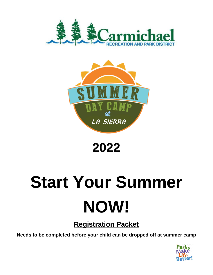



## **2022**

# **Start Your Summer NOW!**

### **Registration Packet**

**Needs to be completed before your child can be dropped off at summer camp**

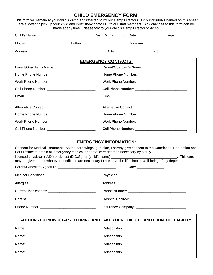#### **CHILD EMERGENCY FORM:**

This form will remain at your child's camp and referred to by our Camp Directors. Only individuals named on this sheet are allowed to pick up your child and must show photo I.D. to our staff members. Any changes to this form can be made at any time. Please talk to your child's Camp Director to do so.

|                                                        |                            |  |  |  | Age:_______ |
|--------------------------------------------------------|----------------------------|--|--|--|-------------|
|                                                        |                            |  |  |  |             |
|                                                        |                            |  |  |  |             |
|                                                        | <b>EMERGENCY CONTACTS:</b> |  |  |  |             |
| Parent/Guardian's Name: ______________________         |                            |  |  |  |             |
|                                                        |                            |  |  |  |             |
|                                                        |                            |  |  |  |             |
| Cell Phone Number: ______________________________      |                            |  |  |  |             |
|                                                        |                            |  |  |  |             |
| Alternative Contact: _________________________________ |                            |  |  |  |             |
|                                                        |                            |  |  |  |             |
|                                                        |                            |  |  |  |             |
|                                                        |                            |  |  |  |             |

#### **EMERGENCY INFORMATION:**

| Park District to obtain all emergency medical or dental care deemed necessary by a duly<br>may be given under whatever conditions are necessary to preserve the life, limb or well-being of my dependent. | Consent for Medical Treatment: As the parent/legal guardian, I hereby give consent to the Carmichael Recreation and |  |  |  |
|-----------------------------------------------------------------------------------------------------------------------------------------------------------------------------------------------------------|---------------------------------------------------------------------------------------------------------------------|--|--|--|
|                                                                                                                                                                                                           | Date: ________________                                                                                              |  |  |  |
| Medical Conditions: __________________________________                                                                                                                                                    |                                                                                                                     |  |  |  |
|                                                                                                                                                                                                           |                                                                                                                     |  |  |  |
| Current Medications: ________________________________                                                                                                                                                     |                                                                                                                     |  |  |  |
|                                                                                                                                                                                                           |                                                                                                                     |  |  |  |
|                                                                                                                                                                                                           |                                                                                                                     |  |  |  |
|                                                                                                                                                                                                           | <u>AUTHORIZED INDIVIDUALS TO BRING AND TAKE YOUR CHILD TO AND FROM THE FACILITY:</u>                                |  |  |  |
|                                                                                                                                                                                                           |                                                                                                                     |  |  |  |
|                                                                                                                                                                                                           |                                                                                                                     |  |  |  |
|                                                                                                                                                                                                           |                                                                                                                     |  |  |  |
|                                                                                                                                                                                                           |                                                                                                                     |  |  |  |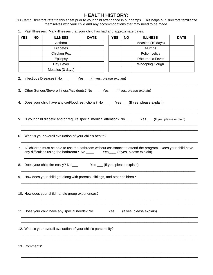#### **HEALTH HISTORY:**

Our Camp Directors refer to this sheet prior to your child attendance in our camps. This helps our Directors familiarize themselves with your child and any accommodations that may need to be made.

1. Past Illnesses: Mark illnesses that your child has had and approximate dates.

|    | <b>YES</b> | <b>NO</b>     | <b>ILLNESS</b>                                                                                  | <b>DATE</b> | <b>YES</b> | <b>NO</b> | <b>ILLNESS</b>                                                                                                                | <b>DATE</b> |
|----|------------|---------------|-------------------------------------------------------------------------------------------------|-------------|------------|-----------|-------------------------------------------------------------------------------------------------------------------------------|-------------|
|    |            |               | Asthma                                                                                          |             |            |           | Measles (10 days)                                                                                                             |             |
|    |            |               | <b>Diabetes</b>                                                                                 |             |            |           | Mumps                                                                                                                         |             |
|    |            |               | Chicken Pox                                                                                     |             |            |           | Poliomyelitis                                                                                                                 |             |
|    |            |               | Epilepsy                                                                                        |             |            |           | <b>Rheumatic Fever</b>                                                                                                        |             |
|    |            |               | Hay Fever                                                                                       |             |            |           | <b>Whooping Cough</b>                                                                                                         |             |
|    |            |               | Measles (3 days)                                                                                |             |            |           |                                                                                                                               |             |
|    |            |               |                                                                                                 |             |            |           |                                                                                                                               |             |
|    |            |               | 3. Other Serious/Severe Illness/Accidents? No _____ Yes ____ (If yes, please explain)           |             |            |           |                                                                                                                               |             |
|    |            |               | 4. Does your child have any diet/food restrictions? No ______ Yes ____ (If yes, please explain) |             |            |           |                                                                                                                               |             |
|    |            |               |                                                                                                 |             |            |           | 5. Is your child diabetic and/or require special medical attention? No _____________________________ (If yes, please explain) |             |
|    |            |               | 6. What is your overall evaluation of your child's health?                                      |             |            |           |                                                                                                                               |             |
| 7. |            |               |                                                                                                 |             |            |           | All children must be able to use the bathroom without assistance to attend the program. Does your child have                  |             |
|    |            |               |                                                                                                 |             |            |           |                                                                                                                               |             |
|    |            |               | 9. How does your child get along with parents, siblings, and other children?                    |             |            |           |                                                                                                                               |             |
|    |            |               | 10. How does your child handle group experiences?                                               |             |            |           |                                                                                                                               |             |
|    |            |               |                                                                                                 |             |            |           |                                                                                                                               |             |
|    |            |               | 12. What is your overall evaluation of your child's personality?                                |             |            |           |                                                                                                                               |             |
|    |            | 13. Comments? |                                                                                                 |             |            |           |                                                                                                                               |             |

\_\_\_\_\_\_\_\_\_\_\_\_\_\_\_\_\_\_\_\_\_\_\_\_\_\_\_\_\_\_\_\_\_\_\_\_\_\_\_\_\_\_\_\_\_\_\_\_\_\_\_\_\_\_\_\_\_\_\_\_\_\_\_\_\_\_\_\_\_\_\_\_\_\_\_\_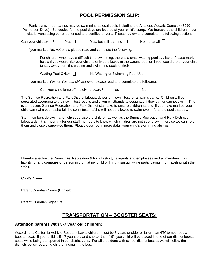#### **POOL PERMISSION SLIP:**

Participants in our camps may go swimming at local pools including the Antelope Aquatic Complex (7990 Palmerson Drive). Schedules for the pool days are located at your child's camp. We transport the children in our district vans using our experienced and certified drivers. Please review and complete the following section.

|  | Can your child swim? | Yes I | Yes, but still learning | No. not at all $\perp$ |  |
|--|----------------------|-------|-------------------------|------------------------|--|
|--|----------------------|-------|-------------------------|------------------------|--|

If you marked *No, not at all*, please read and complete the following:

For children who have a difficult time swimming, there is a small wading pool available. Please mark below if you would like your child to only be allowed in the wading pool or if you would prefer your child to stay away from the wading and swimming pools entirely.

Wading Pool ONLY  $\Box$  No Wading or Swimming Pool Use  $\Box$ 

If you marked *Yes*, or *Yes, but still learning*, please read and complete the following:

Can your child jump off the diving board? Yes  $\Box$  No  $\Box$ 

The Sunrise Recreation and Park District Lifeguards perform swim test for all participants. Children will be separated according to their swim test results and given wristbands to designate if they can or cannot swim. This is a measure Sunrise Recreation and Park District staff take to ensure children safety. If you have marked your child can swim but he/she fail the swim test, he/she will not be allowed to swim over 4 ft. at the pool that day.

Staff members do swim and help supervise the children as well as the Sunrise Recreation and Park District's Lifeguards. It is important for our staff members to know which children are not strong swimmers so we can help them and closely supervise them. Please describe in more detail your child's swimming abilities:

I hereby absolve the Carmichael Recreation & Park District, its agents and employees and all members from liability for any damages or person injury that my child or I might sustain while participating in or traveling with the group.

\_\_\_\_\_\_\_\_\_\_\_\_\_\_\_\_\_\_\_\_\_\_\_\_\_\_\_\_\_\_\_\_\_\_\_\_\_\_\_\_\_\_\_\_\_\_\_\_\_\_\_\_\_\_\_\_\_\_\_\_\_\_\_\_\_\_\_\_\_\_\_\_\_\_\_\_\_\_\_\_\_\_\_\_\_\_\_\_\_\_\_

 $\overline{\phantom{a}}$  ,  $\overline{\phantom{a}}$  ,  $\overline{\phantom{a}}$  ,  $\overline{\phantom{a}}$  ,  $\overline{\phantom{a}}$  ,  $\overline{\phantom{a}}$  ,  $\overline{\phantom{a}}$  ,  $\overline{\phantom{a}}$  ,  $\overline{\phantom{a}}$  ,  $\overline{\phantom{a}}$  ,  $\overline{\phantom{a}}$  ,  $\overline{\phantom{a}}$  ,  $\overline{\phantom{a}}$  ,  $\overline{\phantom{a}}$  ,  $\overline{\phantom{a}}$  ,  $\overline{\phantom{a}}$ 

| Child's Name: |
|---------------|
|---------------|

Parent/Guardian Name (Printed): **Example 2018** 

Parent/Guardian Signature:

#### **TRANSPORTATION – BOOSTER SEATS:**

#### **Attention parents with 5-7 year old children:**

According to California Vehicle Restraint Laws, children must be 8 years or older or taller than 4'9" to not need a booster seat. If your child is 5 - 7 years old and shorter than 4'9", you child will be placed in one of our district booster seats while being transported in our district vans. For all trips done with school district busses we will follow the districts policy regarding children riding in the bus.